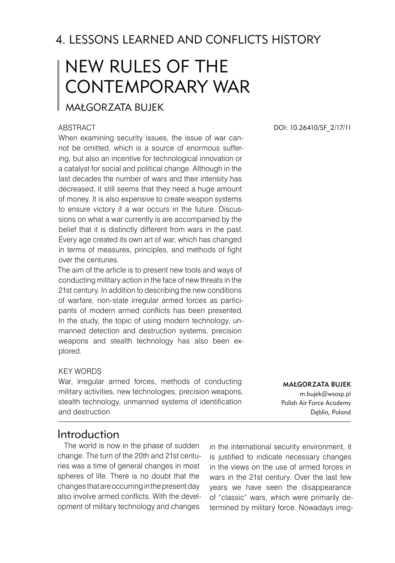# 4. LESSONS LEARNED AND CONFLICTS HISTORY

# NEW RULES OF THE CONTEMPORARY WAR

#### Małgorzata BUJEK

#### **ABSTRACT**

When examining security issues, the issue of war cannot be omitted, which is a source of enormous suffering, but also an incentive for technological innovation or a catalyst for social and political change. Although in the last decades the number of wars and their intensity has decreased, it still seems that they need a huge amount of money. It is also expensive to create weapon systems to ensure victory if a war occurs in the future. Discussions on what a war currently is are accompanied by the belief that it is distinctly different from wars in the past. Every age created its own art of war, which has changed in terms of measures, principles, and methods of fight over the centuries.

The aim of the article is to present new tools and ways of conducting military action in the face of new threats in the 21st century. In addition to describing the new conditions of warfare, non-state irregular armed forces as participants of modern armed conflicts has been presented. In the study, the topic of using modern technology, unmanned detection and destruction systems, precision weapons and stealth technology has also been explored.

#### Key words

War, irregular armed forces, methods of conducting military activities, new technologies, precision weapons, stealth technology, unmanned systems of identification and destruction

DOI: 10.26410/SF\_2/17/11

MAŁGORZATA BUJEK m.bujek@wsosp.pl Polish Air Force Academy Dęblin, Poland

#### Introduction

The world is now in the phase of sudden change. The turn of the 20th and 21st centuries was a time of general changes in most spheres of life. There is no doubt that the changes that are occurring in the present day also involve armed conflicts. With the development of military technology and changes

in the international security environment, it is justified to indicate necessary changes in the views on the use of armed forces in wars in the 21st century. Over the last few years we have seen the disappearance of "classic" wars, which were primarily determined by military force. Nowadays irreg-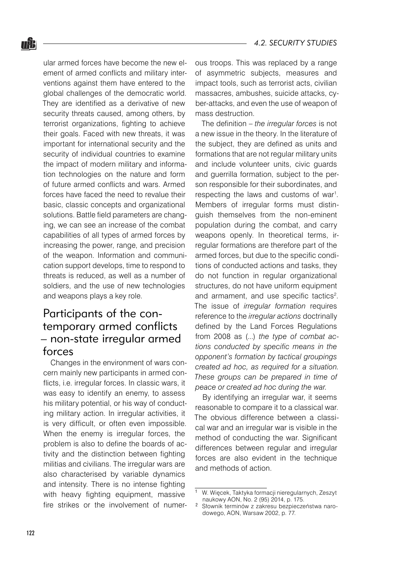ular armed forces have become the new element of armed conflicts and military interventions against them have entered to the global challenges of the democratic world. They are identified as a derivative of new security threats caused, among others, by terrorist organizations, fighting to achieve their goals. Faced with new threats, it was important for international security and the security of individual countries to examine the impact of modern military and information technologies on the nature and form of future armed conflicts and wars. Armed forces have faced the need to revalue their basic, classic concepts and organizational solutions. Battle field parameters are changing, we can see an increase of the combat capabilities of all types of armed forces by increasing the power, range, and precision of the weapon. Information and communication support develops, time to respond to threats is reduced, as well as a number of soldiers, and the use of new technologies and weapons plays a key role.

# Participants of the contemporary armed conflicts – non-state irregular armed forces

Changes in the environment of wars concern mainly new participants in armed conflicts, i.e. irregular forces. In classic wars, it was easy to identify an enemy, to assess his military potential, or his way of conducting military action. In irregular activities, it is very difficult, or often even impossible. When the enemy is irregular forces, the problem is also to define the boards of activity and the distinction between fighting militias and civilians. The irregular wars are also characterised by variable dynamics and intensity. There is no intense fighting with heavy fighting equipment, massive fire strikes or the involvement of numerous troops. This was replaced by a range of asymmetric subjects, measures and impact tools, such as terrorist acts, civilian massacres, ambushes, suicide attacks, cyber-attacks, and even the use of weapon of mass destruction.

The definition – *the irregular forces* is not a new issue in the theory. In the literature of the subject, they are defined as units and formations that are not regular military units and include volunteer units, civic guards and guerrilla formation, subject to the person responsible for their subordinates, and respecting the laws and customs of war<sup>1</sup>. Members of irregular forms must distinguish themselves from the non-eminent population during the combat, and carry weapons openly. In theoretical terms, irregular formations are therefore part of the armed forces, but due to the specific conditions of conducted actions and tasks, they do not function in regular organizational structures, do not have uniform equipment and armament, and use specific tactics<sup>2</sup>. The issue of *irregular formation* requires reference to the *irregular actions* doctrinally defined by the Land Forces Regulations from 2008 as (...) *the type of combat actions conducted by specific means in the opponent's formation by tactical groupings created ad hoc, as required for a situation. These groups can be prepared in time of peace or created ad hoc during the war.*

By identifying an irregular war, it seems reasonable to compare it to a classical war. The obvious difference between a classical war and an irregular war is visible in the method of conducting the war. Significant differences between regular and irregular forces are also evident in the technique and methods of action.

W. Więcek, Taktyka formacji nieregularnych, Zeszyt naukowy AON, No. 2 (95) 2014, p. 175.

Słownik terminów z zakresu bezpieczeństwa narodowego, AON, Warsaw 2002, p. 77.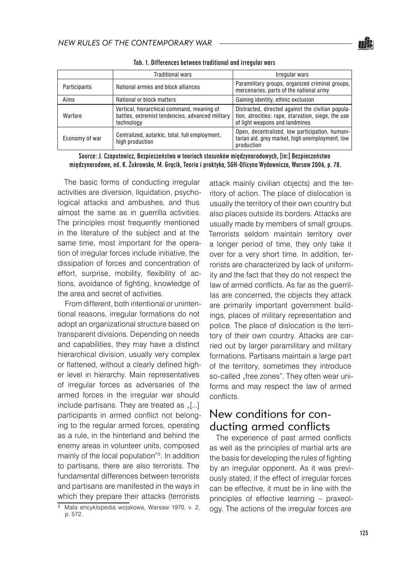|                | Traditional wars                                                                                             | Irregular wars                                                                                                                            |
|----------------|--------------------------------------------------------------------------------------------------------------|-------------------------------------------------------------------------------------------------------------------------------------------|
| Participants   | National armies and block alliances                                                                          | Paramilitary groups, organized criminal groups,<br>mercenaries, parts of the national army                                                |
| Aims           | National or block matters                                                                                    | Gaining identity, ethnic exclusion                                                                                                        |
| Warfare        | Vertical, hierarchical command, meaning of<br>battles, extremist tendencies, advanced military<br>technology | Distracted, directed against the civilian popula-<br>tion, atrocities: rape, starvation, siege, the use<br>of light weapons and landmines |
| Economy of war | Centralized, autarkic, total, full employment,<br>high production                                            | Open, decentralized, low participation, humani-<br>tarian aid, grey market, high unemployment, low<br>production                          |

Tab. 1. Differences between traditional and irregular wars

Source: J. Czaputowicz, Bezpieczeństwo w teoriach stosunków międzynarodowych, [in:] Bezpieczeństwo międzynarodowe, ed. K. Żukrowska, M. Grącik, Teoria i praktyka, SGH-Oficyna Wydawnicza, Warsaw 2006, p. 78.

The basic forms of conducting irregular activities are diversion, liquidation, psychological attacks and ambushes, and thus almost the same as in guerrilla activities. The principles most frequently mentioned in the literature of the subject and at the same time, most important for the operation of irregular forces include initiative, the dissipation of forces and concentration of effort, surprise, mobility, flexibility of actions, avoidance of fighting, knowledge of the area and secret of activities.

From different, both intentional or unintentional reasons, irregular formations do not adopt an organizational structure based on transparent divisions. Depending on needs and capabilities, they may have a distinct hierarchical division, usually very complex or flattened, without a clearly defined higher level in hierarchy. Main representatives of irregular forces as adversaries of the armed forces in the irregular war should include partisans. They are treated as  $[[...]$ participants in armed conflict not belonging to the regular armed forces, operating as a rule, in the hinterland and behind the enemy areas in volunteer units, composed mainly of the local population" . In addition to partisans, there are also terrorists. The fundamental differences between terrorists and partisans are manifested in the ways in which they prepare their attacks (terrorists

attack mainly civilian objects) and the territory of action. The place of dislocation is usually the territory of their own country but also places outside its borders. Attacks are usually made by members of small groups. Terrorists seldom maintain territory over a longer period of time, they only take it over for a very short time. In addition, terrorists are characterized by lack of uniformity and the fact that they do not respect the law of armed conflicts. As far as the guerrillas are concerned, the objects they attack are primarily important government buildings, places of military representation and police. The place of dislocation is the territory of their own country. Attacks are carried out by larger paramilitary and military formations. Partisans maintain a large part of the territory, sometimes they introduce so-called "free zones". They often wear uniforms and may respect the law of armed conflicts.

### New conditions for conducting armed conflicts

The experience of past armed conflicts as well as the principles of martial arts are the basis for developing the rules of fighting by an irregular opponent. As it was previously stated, if the effect of irregular forces can be effective, it must be in line with the principles of effective learning – praxeology. The actions of the irregular forces are

<sup>3</sup> Mała encyklopedia wojskowa, Warsaw 1970, v. 2, p. 572.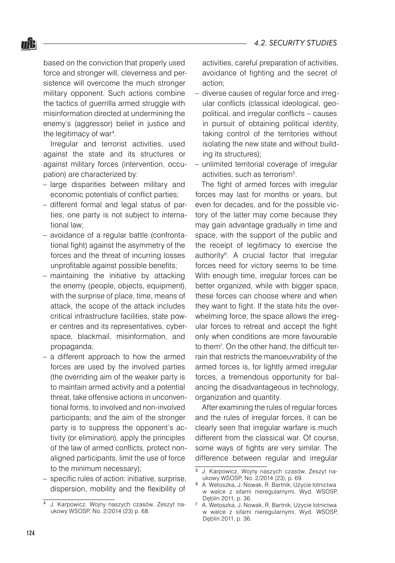based on the conviction that properly used force and stronger will, cleverness and persistence will overcome the much stronger military opponent. Such actions combine the tactics of guerrilla armed struggle with misinformation directed at undermining the enemy's (aggressor) belief in justice and the legitimacy of war $4$ .

nŜ.

Irregular and terrorist activities, used against the state and its structures or against military forces (intervention, occupation) are characterized by:

- large disparities between military and economic potentials of conflict parties;
- different formal and legal status of parties, one party is not subject to international law;
- avoidance of a regular battle (confronta-– tional fight) against the asymmetry of the forces and the threat of incurring losses unprofitable against possible benefits;
- maintaining the initiative by attacking the enemy (people, objects, equipment), with the surprise of place, time, means of attack, the scope of the attack includes critical infrastructure facilities, state power centres and its representatives, cyberspace, blackmail, misinformation, and propaganda;
- a different approach to how the armed forces are used by the involved parties (the overriding aim of the weaker party is to maintain armed activity and a potential threat, take offensive actions in unconventional forms, to involved and non-involved participants; and the aim of the stronger party is to suppress the opponent's activity (or elimination), apply the principles of the law of armed conflicts, protect nonaligned participants, limit the use of force to the minimum necessary);
- specific rules of action: initiative, surprise, dispersion, mobility and the flexibility of –

activities, careful preparation of activities, avoidance of fighting and the secret of action;

- diverse causes of regular force and irregular conflicts (classical ideological, geopolitical, and irregular conflicts – causes in pursuit of obtaining political identity, taking control of the territories without isolating the new state and without building its structures);
- unlimited territorial coverage of irregular activities, such as terrorism<sup>5</sup>. –

The fight of armed forces with irregular forces may last for months or years, but even for decades, and for the possible victory of the latter may come because they may gain advantage gradually in time and space, with the support of the public and the receipt of legitimacy to exercise the authority<sup>6</sup>. A crucial factor that irregular forces need for victory seems to be time. With enough time, irregular forces can be better organized, while with bigger space, these forces can choose where and when they want to fight. If the state hits the overwhelming force, the space allows the irregular forces to retreat and accept the fight only when conditions are more favourable to them<sup>7</sup>. On the other hand, the difficult terrain that restricts the manoeuvrability of the armed forces is, for lightly armed irregular forces, a tremendous opportunity for balancing the disadvantageous in technology, organization and quantity.

After examining the rules of regular forces and the rules of irregular forces, it can be clearly seen that irregular warfare is much different from the classical war. Of course, some ways of fights are very similar. The difference between regular and irregular

J. Karpowicz, Wojny naszych czasów, Zeszyt naukowy WSOSP, No. 2/2014 (23) p. 68.

<sup>&</sup>lt;sup>5</sup> J. Karpowicz, Wojny naszych czasów, Zeszyt naukowy WSOSP, No. 2/2014 (23), p. 69.

A. Wetoszka, J. Nowak, R. Bartnik, Użycie lotnictwa w walce z siłami nieregularnymi, Wyd. WSOSP, Dęblin 2011, p. 36.

A. Wetoszka, J. Nowak, R. Bartnik, Użycie lotnictwa w walce z siłami nieregularnymi, Wyd. WSOSP, Dęblin 2011, p. 36.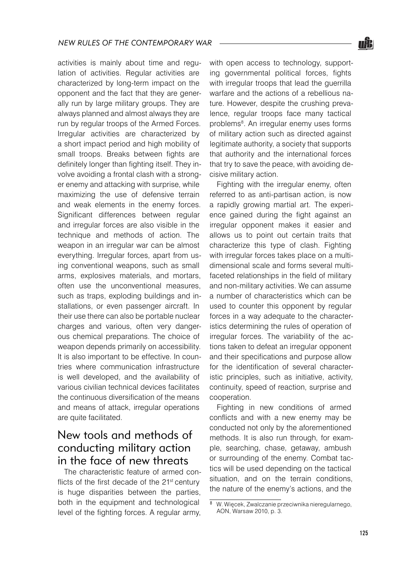activities is mainly about time and regulation of activities. Regular activities are characterized by long-term impact on the opponent and the fact that they are generally run by large military groups. They are always planned and almost always they are run by regular troops of the Armed Forces. Irregular activities are characterized by a short impact period and high mobility of small troops. Breaks between fights are definitely longer than fighting itself. They involve avoiding a frontal clash with a stronger enemy and attacking with surprise, while maximizing the use of defensive terrain and weak elements in the enemy forces. Significant differences between regular and irregular forces are also visible in the technique and methods of action. The weapon in an irregular war can be almost everything. Irregular forces, apart from using conventional weapons, such as small arms, explosives materials, and mortars, often use the unconventional measures, such as traps, exploding buildings and installations, or even passenger aircraft. In their use there can also be portable nuclear charges and various, often very dangerous chemical preparations. The choice of weapon depends primarily on accessibility. It is also important to be effective. In countries where communication infrastructure is well developed, and the availability of various civilian technical devices facilitates the continuous diversification of the means and means of attack, irregular operations are quite facilitated.

## New tools and methods of conducting military action in the face of new threats

The characteristic feature of armed conflicts of the first decade of the 21<sup>st</sup> century is huge disparities between the parties, both in the equipment and technological level of the fighting forces. A regular army,

with open access to technology, supporting governmental political forces, fights with irregular troops that lead the guerrilla warfare and the actions of a rebellious nature. However, despite the crushing prevalence, regular troops face many tactical problems<sup>8</sup>. An irregular enemy uses forms of military action such as directed against legitimate authority, a society that supports that authority and the international forces that try to save the peace, with avoiding decisive military action.

Fighting with the irregular enemy, often referred to as anti-partisan action, is now a rapidly growing martial art. The experience gained during the fight against an irregular opponent makes it easier and allows us to point out certain traits that characterize this type of clash. Fighting with irregular forces takes place on a multidimensional scale and forms several multifaceted relationships in the field of military and non-military activities. We can assume a number of characteristics which can be used to counter this opponent by regular forces in a way adequate to the characteristics determining the rules of operation of irregular forces. The variability of the actions taken to defeat an irregular opponent and their specifications and purpose allow for the identification of several characteristic principles, such as initiative, activity, continuity, speed of reaction, surprise and cooperation.

Fighting in new conditions of armed conflicts and with a new enemy may be conducted not only by the aforementioned methods. It is also run through, for example, searching, chase, getaway, ambush or surrounding of the enemy. Combat tactics will be used depending on the tactical situation, and on the terrain conditions, the nature of the enemy's actions, and the

<sup>8</sup> W. Więcek, Zwalczanie przeciwnika nieregularnego, AON, Warsaw 2010, p. 3.

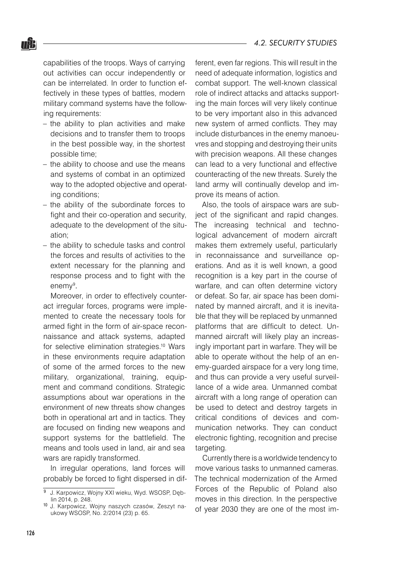#### *4.2. SECURITY STUDIES*

nŜ.

capabilities of the troops. Ways of carrying out activities can occur independently or can be interrelated. In order to function effectively in these types of battles, modern military command systems have the following requirements:

- $-$  the ability to plan activities and make decisions and to transfer them to troops in the best possible way, in the shortest possible time;
- $-$  the ability to choose and use the means and systems of combat in an optimized way to the adopted objective and operating conditions;
- the ability of the subordinate forces to fight and their co-operation and security, adequate to the development of the situation;
- the ability to schedule tasks and control the forces and results of activities to the extent necessary for the planning and response process and to fight with the enemy<sup>9</sup>.

Moreover, in order to effectively counteract irregular forces, programs were implemented to create the necessary tools for armed fight in the form of air-space reconnaissance and attack systems, adapted for selective elimination strategies.<sup>10</sup> Wars in these environments require adaptation of some of the armed forces to the new military, organizational, training, equipment and command conditions. Strategic assumptions about war operations in the environment of new threats show changes both in operational art and in tactics. They are focused on finding new weapons and support systems for the battlefield. The means and tools used in land, air and sea wars are rapidly transformed.

In irregular operations, land forces will probably be forced to fight dispersed in different, even far regions. This will result in the need of adequate information, logistics and combat support. The well-known classical role of indirect attacks and attacks supporting the main forces will very likely continue to be very important also in this advanced new system of armed conflicts. They may include disturbances in the enemy manoeuvres and stopping and destroying their units with precision weapons. All these changes can lead to a very functional and effective counteracting of the new threats. Surely the land army will continually develop and improve its means of action.

Also, the tools of airspace wars are subject of the significant and rapid changes. The increasing technical and technological advancement of modern aircraft makes them extremely useful, particularly in reconnaissance and surveillance operations. And as it is well known, a good recognition is a key part in the course of warfare, and can often determine victory or defeat. So far, air space has been dominated by manned aircraft, and it is inevitable that they will be replaced by unmanned platforms that are difficult to detect. Unmanned aircraft will likely play an increasingly important part in warfare. They will be able to operate without the help of an enemy-guarded airspace for a very long time, and thus can provide a very useful surveillance of a wide area. Unmanned combat aircraft with a long range of operation can be used to detect and destroy targets in critical conditions of devices and communication networks. They can conduct electronic fighting, recognition and precise targeting.

Currently there is a worldwide tendency to move various tasks to unmanned cameras. The technical modernization of the Armed Forces of the Republic of Poland also moves in this direction. In the perspective of year 2030 they are one of the most im-

J. Karpowicz, Wojny XXI wieku, Wyd. WSOSP, Dęblin 2014, p. 248.

<sup>10</sup> J. Karpowicz, Wojny naszych czasów, Zeszyt naukowy WSOSP, No. 2/2014 (23) p. 65.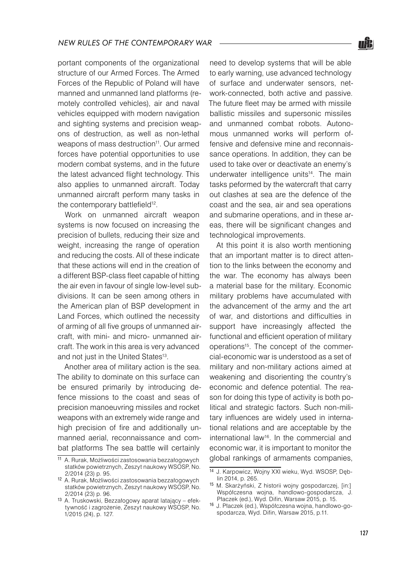portant components of the organizational structure of our Armed Forces. The Armed Forces of the Republic of Poland will have manned and unmanned land platforms (remotely controlled vehicles), air and naval vehicles equipped with modern navigation and sighting systems and precision weapons of destruction, as well as non-lethal weapons of mass destruction<sup>11</sup>. Our armed forces have potential opportunities to use modern combat systems, and in the future the latest advanced flight technology. This also applies to unmanned aircraft. Today unmanned aircraft perform many tasks in the contemporary battlefield<sup>12</sup>.

Work on unmanned aircraft weapon systems is now focused on increasing the precision of bullets, reducing their size and weight, increasing the range of operation and reducing the costs. All of these indicate that these actions will end in the creation of a different BSP-class fleet capable of hitting the air even in favour of single low-level subdivisions. It can be seen among others in the American plan of BSP development in Land Forces, which outlined the necessity of arming of all five groups of unmanned aircraft, with mini- and micro- unmanned aircraft. The work in this area is very advanced and not just in the United States<sup>13</sup>.

Another area of military action is the sea. The ability to dominate on this surface can be ensured primarily by introducing defence missions to the coast and seas of precision manoeuvring missiles and rocket weapons with an extremely wide range and high precision of fire and additionally unmanned aerial, reconnaissance and combat platforms The sea battle will certainly

need to develop systems that will be able to early warning, use advanced technology of surface and underwater sensors, network-connected, both active and passive. The future fleet may be armed with missile ballistic missiles and supersonic missiles and unmanned combat robots. Autonomous unmanned works will perform offensive and defensive mine and reconnaissance operations. In addition, they can be used to take over or deactivate an enemy's underwater intelligence units<sup>14</sup>. The main tasks peformed by the watercraft that carry out clashes at sea are the defence of the coast and the sea, air and sea operations and submarine operations, and in these areas, there will be significant changes and technological improvements.

At this point it is also worth mentioning that an important matter is to direct attention to the links between the economy and the war. The economy has always been a material base for the military. Economic military problems have accumulated with the advancement of the army and the art of war, and distortions and difficulties in support have increasingly affected the functional and efficient operation of military operations<sup>15</sup>. The concept of the commercial-economic war is understood as a set of military and non-military actions aimed at weakening and disorienting the country's economic and defence potential. The reason for doing this type of activity is both political and strategic factors. Such non-military influences are widely used in international relations and are acceptable by the international law16. In the commercial and economic war, it is important to monitor the global rankings of armaments companies,



<sup>11</sup> A. Rurak, Możliwości zastosowania bezzałogowych statków powietrznych, Zeszyt naukowy WSOSP, No. 2/2014 (23) p. 95.

<sup>12</sup> A. Rurak, Możliwości zastosowania bezzałogowych statków powietrznych, Zeszyt naukowy WSOSP, No. 2/2014 (23) p. 96.

<sup>13</sup> A. Truskowski, Bezzałogowy aparat latający – efektywność i zagrożenie, Zeszyt naukowy WSOSP, No. 1/2015 (24), p. 127.

<sup>14</sup> J. Karpowicz, Wojny XXI wieku, Wyd. WSOSP, Dęblin 2014, p. 265.

<sup>15</sup> M. Skarżyński, Z historii wojny gospodarczej, [in:] Współczesna wojna, handlowo-gospodarcza, J. Płaczek (ed.), Wyd. Difin, Warsaw 2015, p. 15.

<sup>16</sup> J. Płaczek (ed.), Współczesna wojna, handlowo-gospodarcza, Wyd. Difin, Warsaw 2015, p.11.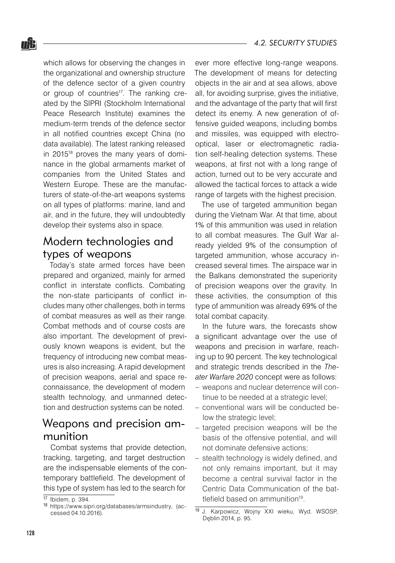*4.2. SECURITY STUDIES*

which allows for observing the changes in the organizational and ownership structure of the defence sector of a given country or group of countries<sup>17</sup>. The ranking created by the SIPRI (Stockholm International Peace Research Institute) examines the medium-term trends of the defence sector in all notified countries except China (no data available). The latest ranking released in 2015<sup>18</sup> proves the many years of dominance in the global armaments market of companies from the United States and Western Europe. These are the manufacturers of state-of-the-art weapons systems on all types of platforms: marine, land and air, and in the future, they will undoubtedly develop their systems also in space.

## Modern technologies and types of weapons

Today's state armed forces have been prepared and organized, mainly for armed conflict in interstate conflicts. Combating the non-state participants of conflict includes many other challenges, both in terms of combat measures as well as their range. Combat methods and of course costs are also important. The development of previously known weapons is evident, but the frequency of introducing new combat measures is also increasing. A rapid development of precision weapons, aerial and space reconnaissance, the development of modern stealth technology, and unmanned detection and destruction systems can be noted.

# Weapons and precision ammunition

Combat systems that provide detection, tracking, targeting, and target destruction are the indispensable elements of the contemporary battlefield. The development of this type of system has led to the search for

ever more effective long-range weapons. The development of means for detecting objects in the air and at sea allows, above all, for avoiding surprise, gives the initiative, and the advantage of the party that will first detect its enemy. A new generation of offensive guided weapons, including bombs and missiles, was equipped with electrooptical, laser or electromagnetic radiation self-healing detection systems. These weapons, at first not with a long range of action, turned out to be very accurate and allowed the tactical forces to attack a wide range of targets with the highest precision.

The use of targeted ammunition began during the Vietnam War. At that time, about 1% of this ammunition was used in relation to all combat measures. The Gulf War already yielded 9% of the consumption of targeted ammunition, whose accuracy increased several times. The airspace war in the Balkans demonstrated the superiority of precision weapons over the gravity. In these activities, the consumption of this type of ammunition was already 69% of the total combat capacity.

In the future wars, the forecasts show a significant advantage over the use of weapons and precision in warfare, reaching up to 90 percent. The key technological and strategic trends described in the *Theater Warfare 2020* concept were as follows:

- weapons and nuclear deterrence will continue to be needed at a strategic level;
- conventional wars will be conducted be-– low the strategic level;
- targeted precision weapons will be the basis of the offensive potential, and will not dominate defensive actions;
- stealth technology is widely defined, and not only remains important, but it may become a central survival factor in the Centric Data Communication of the battlefield based on ammunition<sup>19</sup>. –

<sup>17</sup> Ibidem, p. 394.

<sup>18</sup> https://www.sipri.org/databases/armsindustry, (accessed 04.10.2016).

<sup>19</sup> J. Karpowicz, Wojny XXI wieku, Wyd. WSOSP, Dęblin 2014, p. 95.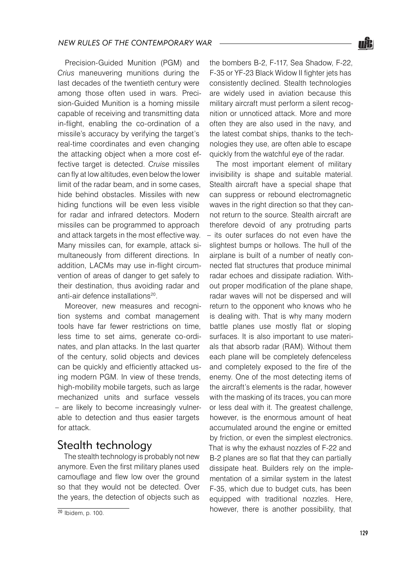Precision-Guided Munition (PGM) and *Crius* maneuvering munitions during the last decades of the twentieth century were among those often used in wars. Precision-Guided Munition is a homing missile capable of receiving and transmitting data in-flight, enabling the co-ordination of a missile's accuracy by verifying the target's real-time coordinates and even changing the attacking object when a more cost effective target is detected. *Cruise* missiles can fly at low altitudes, even below the lower limit of the radar beam, and in some cases, hide behind obstacles. Missiles with new hiding functions will be even less visible for radar and infrared detectors. Modern missiles can be programmed to approach and attack targets in the most effective way. Many missiles can, for example, attack simultaneously from different directions. In addition, LACMs may use in-flight circumvention of areas of danger to get safely to their destination, thus avoiding radar and anti-air defence installations<sup>20</sup>.

Moreover, new measures and recognition systems and combat management tools have far fewer restrictions on time, less time to set aims, generate co-ordinates, and plan attacks. In the last quarter of the century, solid objects and devices can be quickly and efficiently attacked using modern PGM. In view of these trends, high-mobility mobile targets, such as large mechanized units and surface vessels – are likely to become increasingly vulnerable to detection and thus easier targets for attack.

# Stealth technology

The stealth technology is probably not new anymore. Even the first military planes used camouflage and flew low over the ground so that they would not be detected. Over the years, the detection of objects such as the bombers B-2, F-117, Sea Shadow, F-22, F-35 or YF-23 Black Widow II fighter jets has consistently declined. Stealth technologies are widely used in aviation because this military aircraft must perform a silent recognition or unnoticed attack. More and more often they are also used in the navy, and the latest combat ships, thanks to the technologies they use, are often able to escape quickly from the watchful eye of the radar.

The most important element of military invisibility is shape and suitable material. Stealth aircraft have a special shape that can suppress or rebound electromagnetic waves in the right direction so that they cannot return to the source. Stealth aircraft are therefore devoid of any protruding parts – its outer surfaces do not even have the slightest bumps or hollows. The hull of the airplane is built of a number of neatly connected flat structures that produce minimal radar echoes and dissipate radiation. Without proper modification of the plane shape, radar waves will not be dispersed and will return to the opponent who knows who he is dealing with. That is why many modern battle planes use mostly flat or sloping surfaces. It is also important to use materials that absorb radar (RAM). Without them each plane will be completely defenceless and completely exposed to the fire of the enemy. One of the most detecting items of the aircraft's elements is the radar, however with the masking of its traces, you can more or less deal with it. The greatest challenge, however, is the enormous amount of heat accumulated around the engine or emitted by friction, or even the simplest electronics. That is why the exhaust nozzles of F-22 and B-2 planes are so flat that they can partially dissipate heat. Builders rely on the implementation of a similar system in the latest F-35, which due to budget cuts, has been equipped with traditional nozzles. Here, however, there is another possibility, that



<sup>20</sup> Ibidem, p. 100.